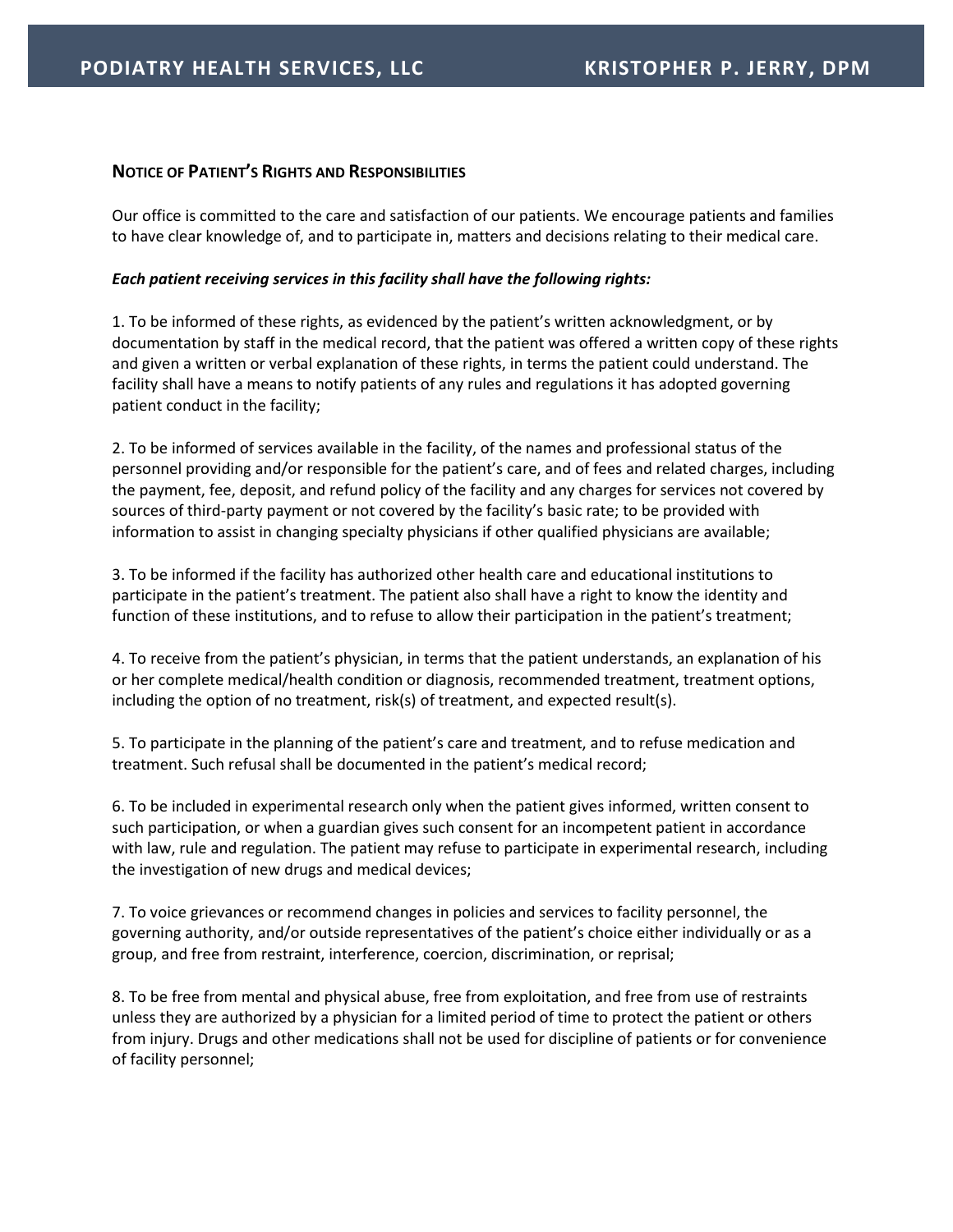## **NOTICE OF PATIENT'S RIGHTS AND RESPONSIBILITIES**

Our office is committed to the care and satisfaction of our patients. We encourage patients and families to have clear knowledge of, and to participate in, matters and decisions relating to their medical care.

## *Each patient receiving services in this facility shall have the following rights:*

1. To be informed of these rights, as evidenced by the patient's written acknowledgment, or by documentation by staff in the medical record, that the patient was offered a written copy of these rights and given a written or verbal explanation of these rights, in terms the patient could understand. The facility shall have a means to notify patients of any rules and regulations it has adopted governing patient conduct in the facility;

2. To be informed of services available in the facility, of the names and professional status of the personnel providing and/or responsible for the patient's care, and of fees and related charges, including the payment, fee, deposit, and refund policy of the facility and any charges for services not covered by sources of third-party payment or not covered by the facility's basic rate; to be provided with information to assist in changing specialty physicians if other qualified physicians are available;

3. To be informed if the facility has authorized other health care and educational institutions to participate in the patient's treatment. The patient also shall have a right to know the identity and function of these institutions, and to refuse to allow their participation in the patient's treatment;

4. To receive from the patient's physician, in terms that the patient understands, an explanation of his or her complete medical/health condition or diagnosis, recommended treatment, treatment options, including the option of no treatment, risk(s) of treatment, and expected result(s).

5. To participate in the planning of the patient's care and treatment, and to refuse medication and treatment. Such refusal shall be documented in the patient's medical record;

6. To be included in experimental research only when the patient gives informed, written consent to such participation, or when a guardian gives such consent for an incompetent patient in accordance with law, rule and regulation. The patient may refuse to participate in experimental research, including the investigation of new drugs and medical devices;

7. To voice grievances or recommend changes in policies and services to facility personnel, the governing authority, and/or outside representatives of the patient's choice either individually or as a group, and free from restraint, interference, coercion, discrimination, or reprisal;

8. To be free from mental and physical abuse, free from exploitation, and free from use of restraints unless they are authorized by a physician for a limited period of time to protect the patient or others from injury. Drugs and other medications shall not be used for discipline of patients or for convenience of facility personnel;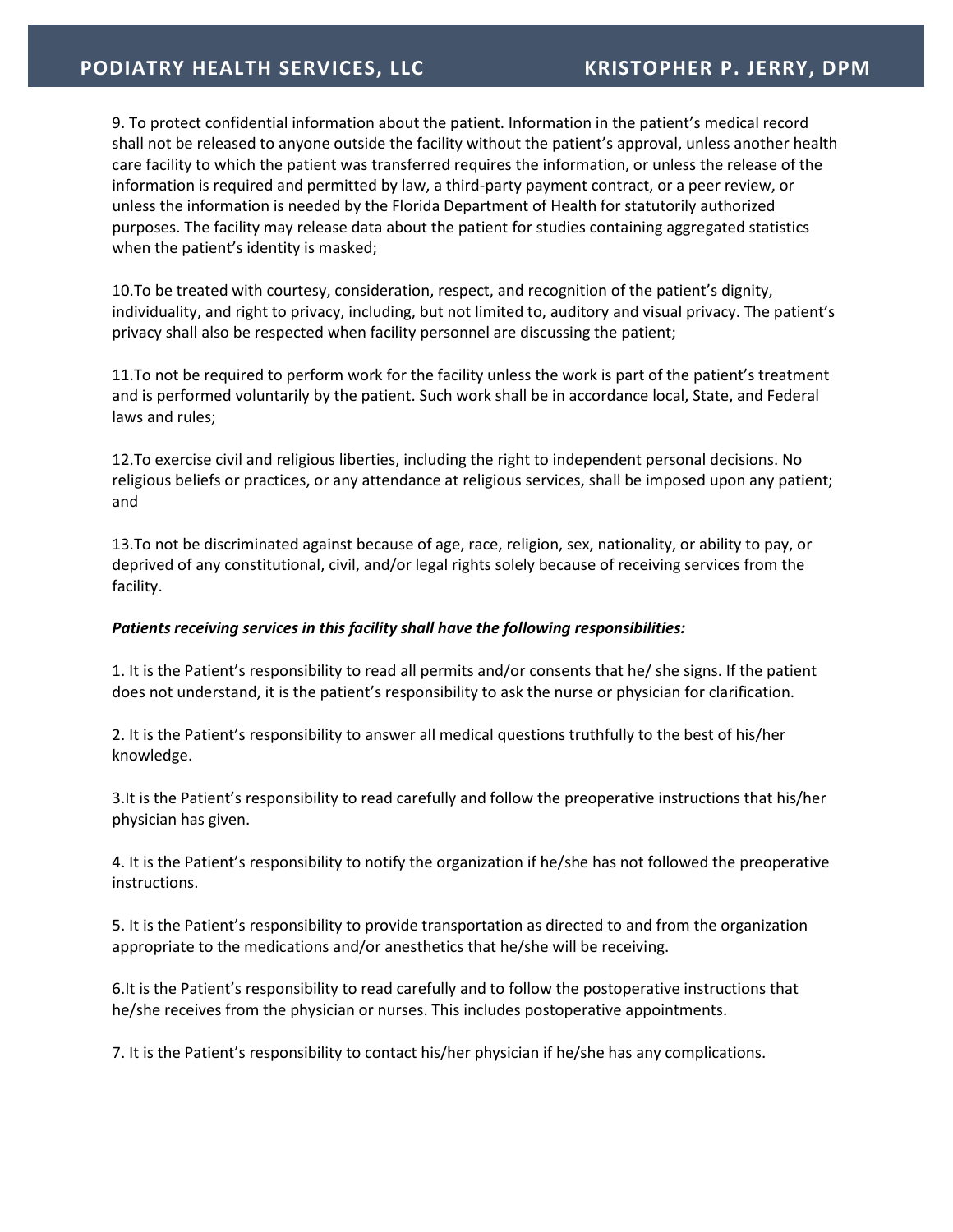9. To protect confidential information about the patient. Information in the patient's medical record shall not be released to anyone outside the facility without the patient's approval, unless another health care facility to which the patient was transferred requires the information, or unless the release of the information is required and permitted by law, a third-party payment contract, or a peer review, or unless the information is needed by the Florida Department of Health for statutorily authorized purposes. The facility may release data about the patient for studies containing aggregated statistics when the patient's identity is masked;

10.To be treated with courtesy, consideration, respect, and recognition of the patient's dignity, individuality, and right to privacy, including, but not limited to, auditory and visual privacy. The patient's privacy shall also be respected when facility personnel are discussing the patient;

11.To not be required to perform work for the facility unless the work is part of the patient's treatment and is performed voluntarily by the patient. Such work shall be in accordance local, State, and Federal laws and rules;

12.To exercise civil and religious liberties, including the right to independent personal decisions. No religious beliefs or practices, or any attendance at religious services, shall be imposed upon any patient; and

13.To not be discriminated against because of age, race, religion, sex, nationality, or ability to pay, or deprived of any constitutional, civil, and/or legal rights solely because of receiving services from the facility.

## *Patients receiving services in this facility shall have the following responsibilities:*

1. It is the Patient's responsibility to read all permits and/or consents that he/ she signs. If the patient does not understand, it is the patient's responsibility to ask the nurse or physician for clarification.

2. It is the Patient's responsibility to answer all medical questions truthfully to the best of his/her knowledge.

3.It is the Patient's responsibility to read carefully and follow the preoperative instructions that his/her physician has given.

4. It is the Patient's responsibility to notify the organization if he/she has not followed the preoperative instructions.

5. It is the Patient's responsibility to provide transportation as directed to and from the organization appropriate to the medications and/or anesthetics that he/she will be receiving.

6.It is the Patient's responsibility to read carefully and to follow the postoperative instructions that he/she receives from the physician or nurses. This includes postoperative appointments.

7. It is the Patient's responsibility to contact his/her physician if he/she has any complications.